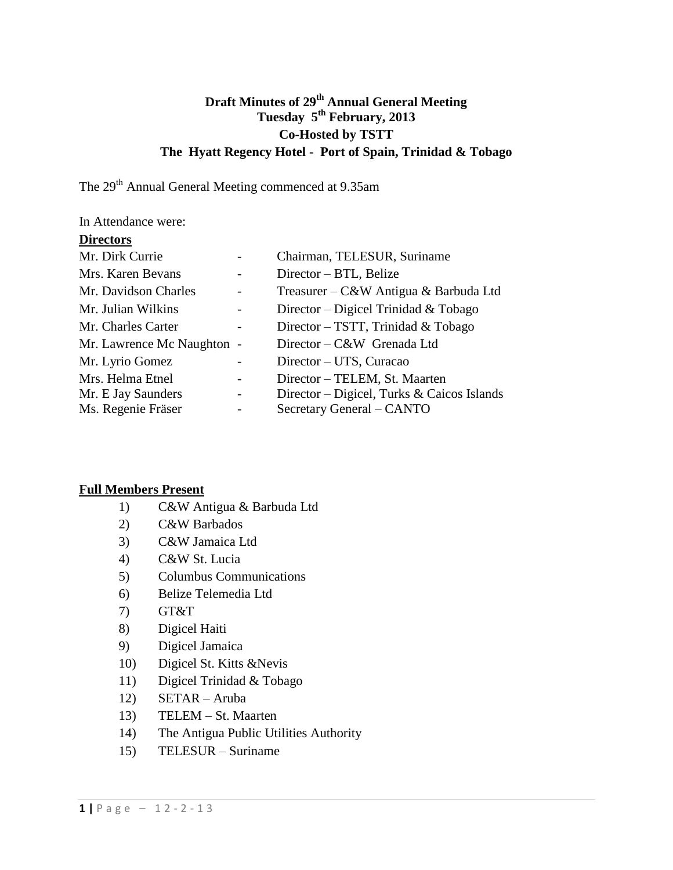# **Draft Minutes of 29th Annual General Meeting Tuesday 5 th February, 2013 Co-Hosted by TSTT The Hyatt Regency Hotel - Port of Spain, Trinidad & Tobago**

The 29<sup>th</sup> Annual General Meeting commenced at 9.35am

| In Attendance were:        |                                                     |
|----------------------------|-----------------------------------------------------|
| <b>Directors</b>           |                                                     |
| Mr. Dirk Currie            | Chairman, TELESUR, Suriname                         |
| Mrs. Karen Bevans          | Director – BTL, Belize                              |
| Mr. Davidson Charles       | Treasurer – C&W Antigua & Barbuda Ltd               |
| Mr. Julian Wilkins         | Director – Digicel Trinidad & Tobago                |
| Mr. Charles Carter         | Director $-$ TSTT, Trinidad & Tobago                |
| Mr. Lawrence Mc Naughton - | Director – C&W Grenada Ltd                          |
| Mr. Lyrio Gomez            | Director – UTS, Curacao                             |
| Mrs. Helma Etnel           | Director - TELEM, St. Maarten                       |
| Mr. E Jay Saunders         | Director – Digicel, Turks $& \text{Caicos Islands}$ |
| Ms. Regenie Fräser         | Secretary General - CANTO                           |

#### **Full Members Present**

- 1) C&W Antigua & Barbuda Ltd
- 2) C&W Barbados
- 3) C&W Jamaica Ltd
- 4) C&W St. Lucia
- 5) Columbus Communications
- 6) Belize Telemedia Ltd
- 7) GT&T
- 8) Digicel Haiti
- 9) Digicel Jamaica
- 10) Digicel St. Kitts &Nevis
- 11) Digicel Trinidad & Tobago
- 12) SETAR Aruba
- 13) TELEM St. Maarten
- 14) The Antigua Public Utilities Authority
- 15) TELESUR Suriname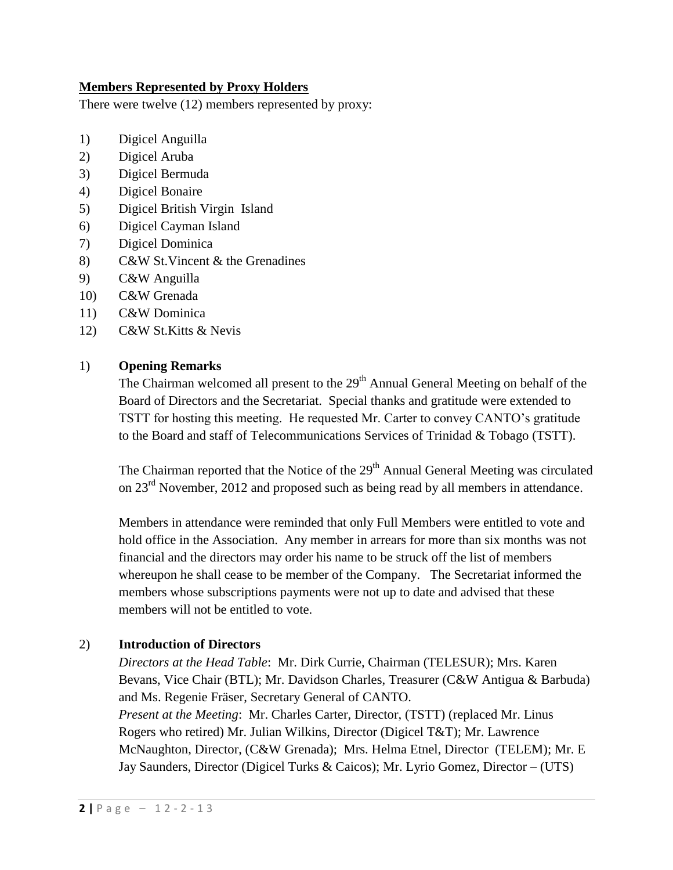## **Members Represented by Proxy Holders**

There were twelve (12) members represented by proxy:

- 1) Digicel Anguilla
- 2) Digicel Aruba
- 3) Digicel Bermuda
- 4) Digicel Bonaire
- 5) Digicel British Virgin Island
- 6) Digicel Cayman Island
- 7) Digicel Dominica
- 8) C&W St.Vincent & the Grenadines
- 9) C&W Anguilla
- 10) C&W Grenada
- 11) C&W Dominica
- 12) C&W St.Kitts & Nevis

## 1) **Opening Remarks**

The Chairman welcomed all present to the  $29<sup>th</sup>$  Annual General Meeting on behalf of the Board of Directors and the Secretariat. Special thanks and gratitude were extended to TSTT for hosting this meeting. He requested Mr. Carter to convey CANTO's gratitude to the Board and staff of Telecommunications Services of Trinidad & Tobago (TSTT).

The Chairman reported that the Notice of the  $29<sup>th</sup>$  Annual General Meeting was circulated on 23<sup>rd</sup> November, 2012 and proposed such as being read by all members in attendance.

Members in attendance were reminded that only Full Members were entitled to vote and hold office in the Association. Any member in arrears for more than six months was not financial and the directors may order his name to be struck off the list of members whereupon he shall cease to be member of the Company. The Secretariat informed the members whose subscriptions payments were not up to date and advised that these members will not be entitled to vote.

## 2) **Introduction of Directors**

*Directors at the Head Table*: Mr. Dirk Currie, Chairman (TELESUR); Mrs. Karen Bevans, Vice Chair (BTL); Mr. Davidson Charles, Treasurer (C&W Antigua & Barbuda) and Ms. Regenie Fräser, Secretary General of CANTO. *Present at the Meeting*: Mr. Charles Carter, Director, (TSTT) (replaced Mr. Linus Rogers who retired) Mr. Julian Wilkins, Director (Digicel T&T); Mr. Lawrence McNaughton, Director, (C&W Grenada); Mrs. Helma Etnel, Director (TELEM); Mr. E Jay Saunders, Director (Digicel Turks & Caicos); Mr. Lyrio Gomez, Director – (UTS)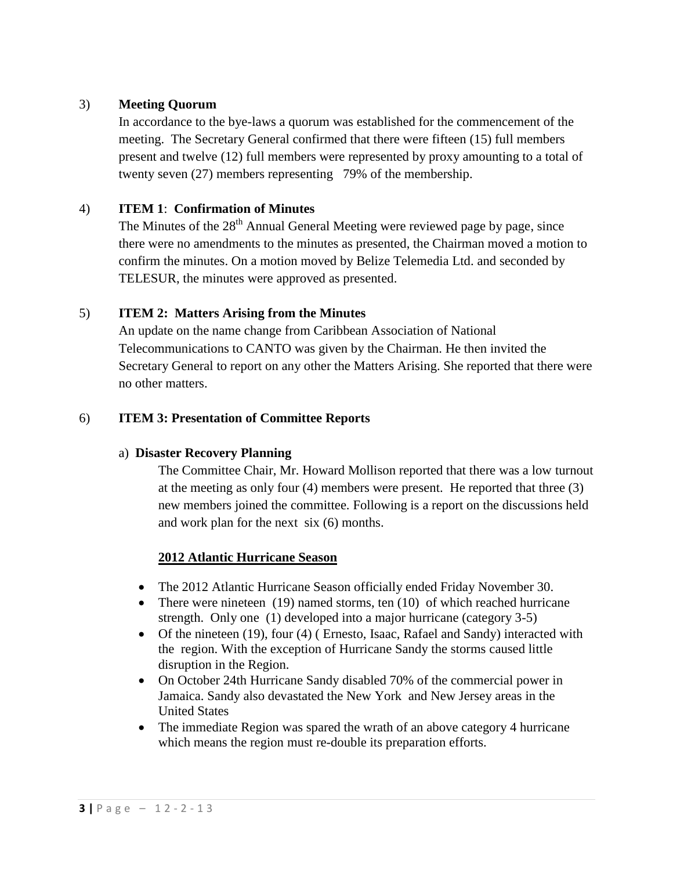#### 3) **Meeting Quorum**

In accordance to the bye-laws a quorum was established for the commencement of the meeting. The Secretary General confirmed that there were fifteen (15) full members present and twelve (12) full members were represented by proxy amounting to a total of twenty seven (27) members representing 79% of the membership.

#### 4) **ITEM 1**: **Confirmation of Minutes**

The Minutes of the 28<sup>th</sup> Annual General Meeting were reviewed page by page, since there were no amendments to the minutes as presented, the Chairman moved a motion to confirm the minutes. On a motion moved by Belize Telemedia Ltd. and seconded by TELESUR, the minutes were approved as presented.

#### 5) **ITEM 2: Matters Arising from the Minutes**

An update on the name change from Caribbean Association of National Telecommunications to CANTO was given by the Chairman. He then invited the Secretary General to report on any other the Matters Arising. She reported that there were no other matters.

#### 6) **ITEM 3: Presentation of Committee Reports**

#### a) **Disaster Recovery Planning**

The Committee Chair, Mr. Howard Mollison reported that there was a low turnout at the meeting as only four (4) members were present. He reported that three (3) new members joined the committee. Following is a report on the discussions held and work plan for the next six (6) months.

#### **2012 Atlantic Hurricane Season**

- The 2012 Atlantic Hurricane Season officially ended Friday November 30.
- There were nineteen  $(19)$  named storms, ten  $(10)$  of which reached hurricane strength. Only one (1) developed into a major hurricane (category 3-5)
- Of the nineteen (19), four (4) ( Ernesto, Isaac, Rafael and Sandy) interacted with the region. With the exception of Hurricane Sandy the storms caused little disruption in the Region.
- On October 24th Hurricane Sandy disabled 70% of the commercial power in Jamaica. Sandy also devastated the New York and New Jersey areas in the United States
- The immediate Region was spared the wrath of an above category 4 hurricane which means the region must re-double its preparation efforts.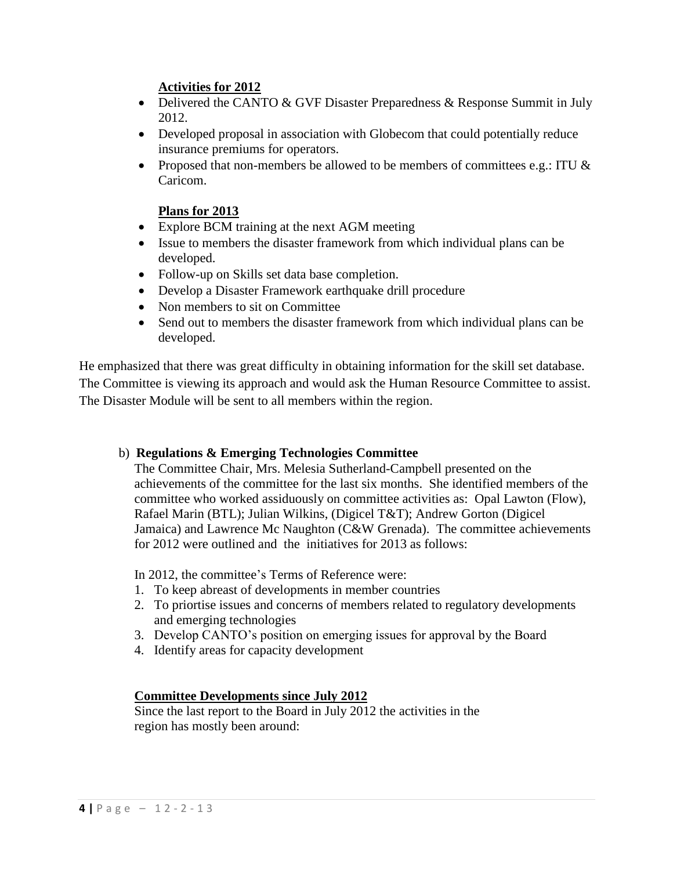# **Activities for 2012**

- Delivered the CANTO  $&$  GVF Disaster Preparedness  $&$  Response Summit in July 2012.
- Developed proposal in association with Globecom that could potentially reduce insurance premiums for operators.
- Proposed that non-members be allowed to be members of committees e.g.: ITU  $\&$ Caricom.

#### **Plans for 2013**

- Explore BCM training at the next AGM meeting
- Issue to members the disaster framework from which individual plans can be developed.
- Follow-up on Skills set data base completion.
- Develop a Disaster Framework earthquake drill procedure
- Non members to sit on Committee
- Send out to members the disaster framework from which individual plans can be developed.

He emphasized that there was great difficulty in obtaining information for the skill set database. The Committee is viewing its approach and would ask the Human Resource Committee to assist. The Disaster Module will be sent to all members within the region.

## b) **Regulations & Emerging Technologies Committee**

The Committee Chair, Mrs. Melesia Sutherland-Campbell presented on the achievements of the committee for the last six months. She identified members of the committee who worked assiduously on committee activities as: Opal Lawton (Flow), Rafael Marin (BTL); Julian Wilkins, (Digicel T&T); Andrew Gorton (Digicel Jamaica) and Lawrence Mc Naughton (C&W Grenada). The committee achievements for 2012 were outlined and the initiatives for 2013 as follows:

In 2012, the committee's Terms of Reference were:

- 1. To keep abreast of developments in member countries
- 2. To priortise issues and concerns of members related to regulatory developments and emerging technologies
- 3. Develop CANTO's position on emerging issues for approval by the Board
- 4. Identify areas for capacity development

#### **Committee Developments since July 2012**

Since the last report to the Board in July 2012 the activities in the region has mostly been around: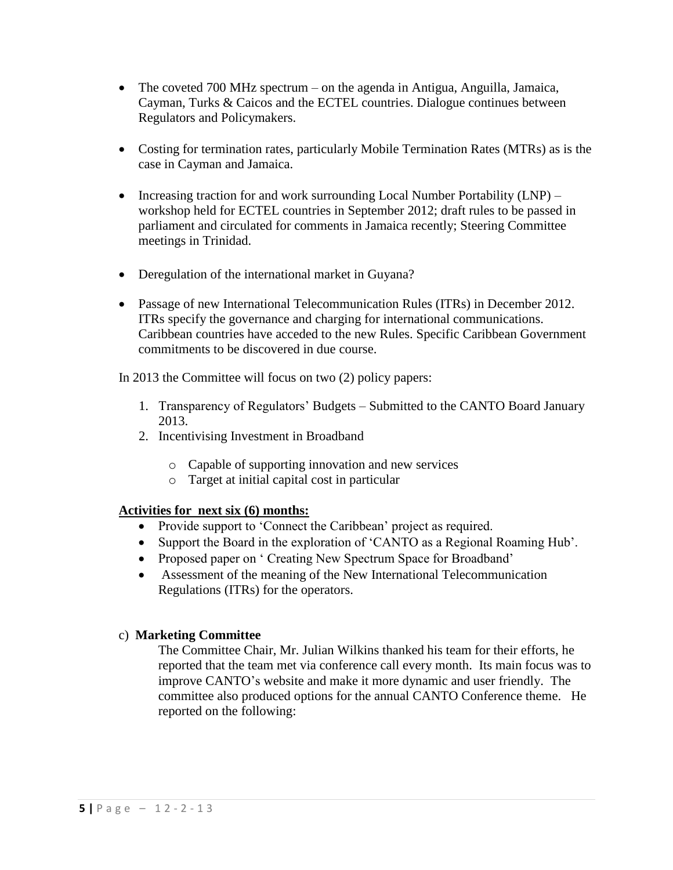- The coveted 700 MHz spectrum on the agenda in Antigua, Anguilla, Jamaica, Cayman, Turks & Caicos and the ECTEL countries. Dialogue continues between Regulators and Policymakers.
- Costing for termination rates, particularly Mobile Termination Rates (MTRs) as is the case in Cayman and Jamaica.
- Increasing traction for and work surrounding Local Number Portability  $(LNP)$  workshop held for ECTEL countries in September 2012; draft rules to be passed in parliament and circulated for comments in Jamaica recently; Steering Committee meetings in Trinidad.
- Deregulation of the international market in Guyana?
- Passage of new International Telecommunication Rules (ITRs) in December 2012. ITRs specify the governance and charging for international communications. Caribbean countries have acceded to the new Rules. Specific Caribbean Government commitments to be discovered in due course.

In 2013 the Committee will focus on two (2) policy papers:

- 1. Transparency of Regulators' Budgets Submitted to the CANTO Board January 2013.
- 2. Incentivising Investment in Broadband
	- o Capable of supporting innovation and new services
	- o Target at initial capital cost in particular

## **Activities for next six (6) months:**

- Provide support to 'Connect the Caribbean' project as required.
- Support the Board in the exploration of 'CANTO as a Regional Roaming Hub'.
- Proposed paper on ' Creating New Spectrum Space for Broadband'
- Assessment of the meaning of the New International Telecommunication Regulations (ITRs) for the operators.

## c) **Marketing Committee**

The Committee Chair, Mr. Julian Wilkins thanked his team for their efforts, he reported that the team met via conference call every month. Its main focus was to improve CANTO's website and make it more dynamic and user friendly. The committee also produced options for the annual CANTO Conference theme. He reported on the following: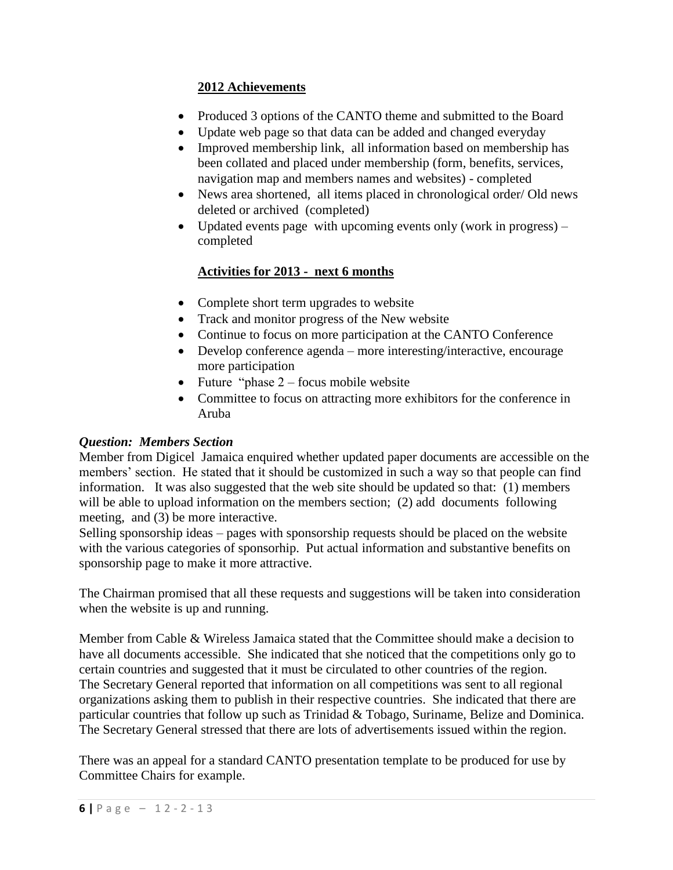# **2012 Achievements**

- Produced 3 options of the CANTO theme and submitted to the Board
- Update web page so that data can be added and changed everyday
- Improved membership link, all information based on membership has been collated and placed under membership (form, benefits, services, navigation map and members names and websites) - completed
- News area shortened, all items placed in chronological order/Old news deleted or archived (completed)
- Updated events page with upcoming events only (work in progress) completed

# **Activities for 2013 - next 6 months**

- Complete short term upgrades to website
- Track and monitor progress of the New website
- Continue to focus on more participation at the CANTO Conference
- Develop conference agenda more interesting/interactive, encourage more participation
- Future "phase  $2$  focus mobile website
- Committee to focus on attracting more exhibitors for the conference in Aruba

## *Question: Members Section*

Member from Digicel Jamaica enquired whether updated paper documents are accessible on the members' section. He stated that it should be customized in such a way so that people can find information. It was also suggested that the web site should be updated so that: (1) members will be able to upload information on the members section; (2) add documents following meeting, and (3) be more interactive.

Selling sponsorship ideas – pages with sponsorship requests should be placed on the website with the various categories of sponsorhip. Put actual information and substantive benefits on sponsorship page to make it more attractive.

The Chairman promised that all these requests and suggestions will be taken into consideration when the website is up and running.

Member from Cable & Wireless Jamaica stated that the Committee should make a decision to have all documents accessible. She indicated that she noticed that the competitions only go to certain countries and suggested that it must be circulated to other countries of the region. The Secretary General reported that information on all competitions was sent to all regional organizations asking them to publish in their respective countries. She indicated that there are particular countries that follow up such as Trinidad & Tobago, Suriname, Belize and Dominica. The Secretary General stressed that there are lots of advertisements issued within the region.

There was an appeal for a standard CANTO presentation template to be produced for use by Committee Chairs for example.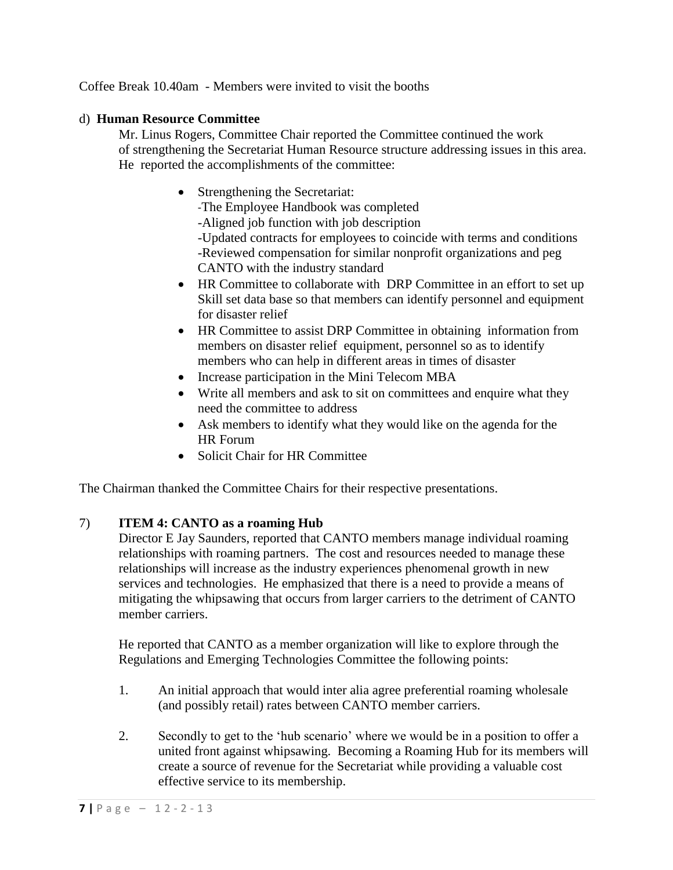Coffee Break 10.40am - Members were invited to visit the booths

#### d) **Human Resource Committee**

Mr. Linus Rogers, Committee Chair reported the Committee continued the work of strengthening the Secretariat Human Resource structure addressing issues in this area. He reported the accomplishments of the committee:

• Strengthening the Secretariat:

-The Employee Handbook was completed -Aligned job function with job description -Updated contracts for employees to coincide with terms and conditions -Reviewed compensation for similar nonprofit organizations and peg CANTO with the industry standard

- HR Committee to collaborate with DRP Committee in an effort to set up Skill set data base so that members can identify personnel and equipment for disaster relief
- HR Committee to assist DRP Committee in obtaining information from members on disaster relief equipment, personnel so as to identify members who can help in different areas in times of disaster
- Increase participation in the Mini Telecom MBA
- Write all members and ask to sit on committees and enquire what they need the committee to address
- Ask members to identify what they would like on the agenda for the HR Forum
- Solicit Chair for HR Committee

The Chairman thanked the Committee Chairs for their respective presentations.

## 7) **ITEM 4: CANTO as a roaming Hub**

Director E Jay Saunders, reported that CANTO members manage individual roaming relationships with roaming partners. The cost and resources needed to manage these relationships will increase as the industry experiences phenomenal growth in new services and technologies. He emphasized that there is a need to provide a means of mitigating the whipsawing that occurs from larger carriers to the detriment of CANTO member carriers.

He reported that CANTO as a member organization will like to explore through the Regulations and Emerging Technologies Committee the following points:

- 1. An initial approach that would inter alia agree preferential roaming wholesale (and possibly retail) rates between CANTO member carriers.
- 2. Secondly to get to the 'hub scenario' where we would be in a position to offer a united front against whipsawing. Becoming a Roaming Hub for its members will create a source of revenue for the Secretariat while providing a valuable cost effective service to its membership.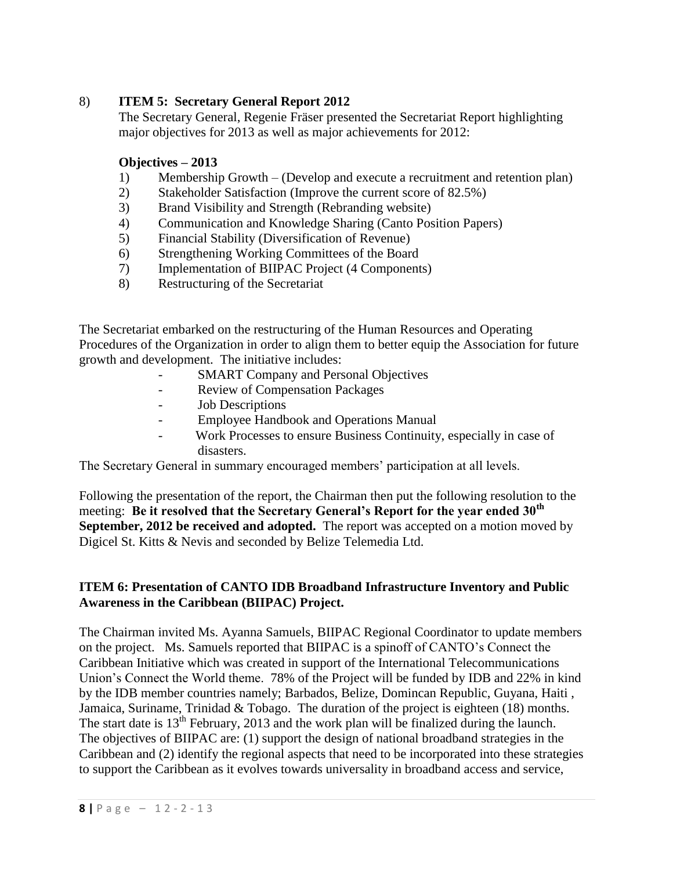# 8) **ITEM 5: Secretary General Report 2012**

The Secretary General, Regenie Fräser presented the Secretariat Report highlighting major objectives for 2013 as well as major achievements for 2012:

# **Objectives – 2013**

- 1) Membership Growth (Develop and execute a recruitment and retention plan)
- 2) Stakeholder Satisfaction (Improve the current score of 82.5%)
- 3) Brand Visibility and Strength (Rebranding website)
- 4) Communication and Knowledge Sharing (Canto Position Papers)
- 5) Financial Stability (Diversification of Revenue)
- 6) Strengthening Working Committees of the Board
- 7) Implementation of BIIPAC Project (4 Components)
- 8) Restructuring of the Secretariat

The Secretariat embarked on the restructuring of the Human Resources and Operating Procedures of the Organization in order to align them to better equip the Association for future growth and development. The initiative includes:

- SMART Company and Personal Objectives
- Review of Compensation Packages
- Job Descriptions
- Employee Handbook and Operations Manual
- Work Processes to ensure Business Continuity, especially in case of disasters.

The Secretary General in summary encouraged members' participation at all levels.

Following the presentation of the report, the Chairman then put the following resolution to the meeting: **Be it resolved that the Secretary General's Report for the year ended 30th September, 2012 be received and adopted.** The report was accepted on a motion moved by Digicel St. Kitts & Nevis and seconded by Belize Telemedia Ltd.

## **ITEM 6: Presentation of CANTO IDB Broadband Infrastructure Inventory and Public Awareness in the Caribbean (BIIPAC) Project.**

The Chairman invited Ms. Ayanna Samuels, BIIPAC Regional Coordinator to update members on the project. Ms. Samuels reported that BIIPAC is a spinoff of CANTO's Connect the Caribbean Initiative which was created in support of the International Telecommunications Union's Connect the World theme. 78% of the Project will be funded by IDB and 22% in kind by the IDB member countries namely; Barbados, Belize, Domincan Republic, Guyana, Haiti , Jamaica, Suriname, Trinidad & Tobago. The duration of the project is eighteen (18) months. The start date is  $13<sup>th</sup>$  February, 2013 and the work plan will be finalized during the launch. The objectives of BIIPAC are: (1) support the design of national broadband strategies in the Caribbean and (2) identify the regional aspects that need to be incorporated into these strategies to support the Caribbean as it evolves towards universality in broadband access and service,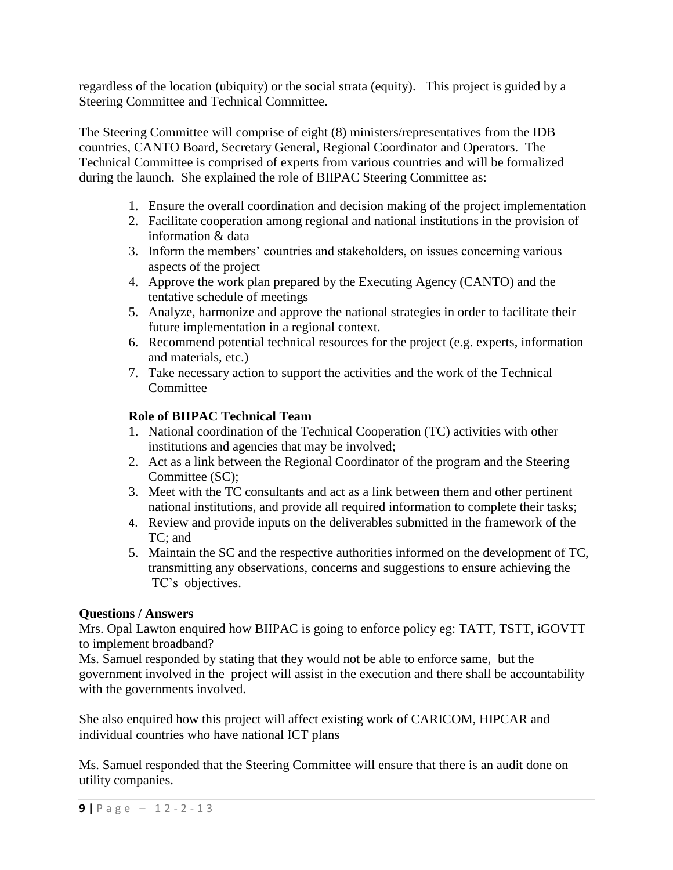regardless of the location (ubiquity) or the social strata (equity). This project is guided by a Steering Committee and Technical Committee.

The Steering Committee will comprise of eight (8) ministers/representatives from the IDB countries, CANTO Board, Secretary General, Regional Coordinator and Operators. The Technical Committee is comprised of experts from various countries and will be formalized during the launch. She explained the role of BIIPAC Steering Committee as:

- 1. Ensure the overall coordination and decision making of the project implementation
- 2. Facilitate cooperation among regional and national institutions in the provision of information & data
- 3. Inform the members' countries and stakeholders, on issues concerning various aspects of the project
- 4. Approve the work plan prepared by the Executing Agency (CANTO) and the tentative schedule of meetings
- 5. Analyze, harmonize and approve the national strategies in order to facilitate their future implementation in a regional context.
- 6. Recommend potential technical resources for the project (e.g. experts, information and materials, etc.)
- 7. Take necessary action to support the activities and the work of the Technical Committee

# **Role of BIIPAC Technical Team**

- 1. National coordination of the Technical Cooperation (TC) activities with other institutions and agencies that may be involved;
- 2. Act as a link between the Regional Coordinator of the program and the Steering Committee (SC);
- 3. Meet with the TC consultants and act as a link between them and other pertinent national institutions, and provide all required information to complete their tasks;
- 4. Review and provide inputs on the deliverables submitted in the framework of the TC; and
- 5. Maintain the SC and the respective authorities informed on the development of TC, transmitting any observations, concerns and suggestions to ensure achieving the TC's objectives.

## **Questions / Answers**

Mrs. Opal Lawton enquired how BIIPAC is going to enforce policy eg: TATT, TSTT, iGOVTT to implement broadband?

Ms. Samuel responded by stating that they would not be able to enforce same, but the government involved in the project will assist in the execution and there shall be accountability with the governments involved.

She also enquired how this project will affect existing work of CARICOM, HIPCAR and individual countries who have national ICT plans

Ms. Samuel responded that the Steering Committee will ensure that there is an audit done on utility companies.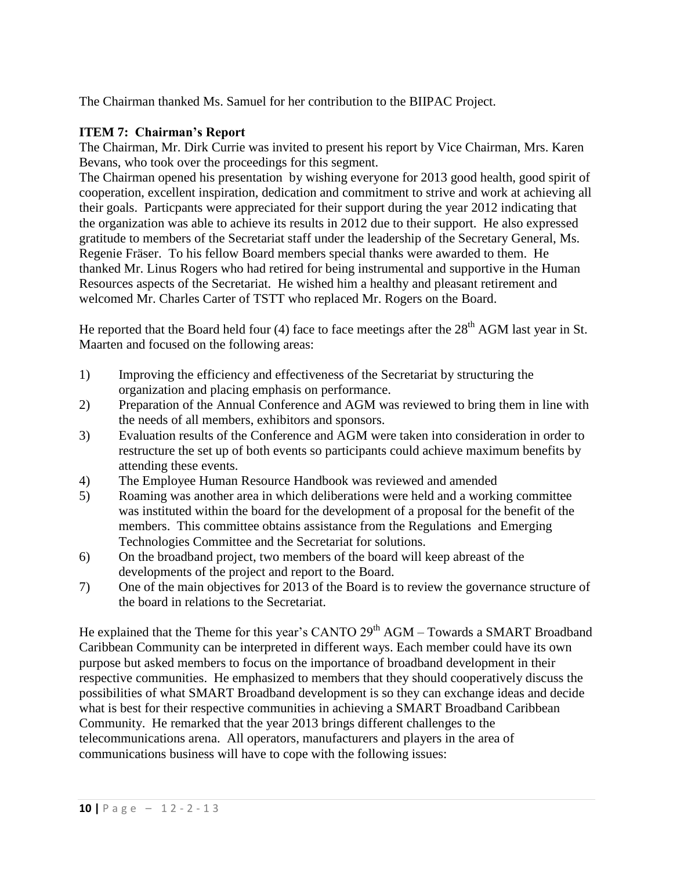The Chairman thanked Ms. Samuel for her contribution to the BIIPAC Project.

# **ITEM 7: Chairman's Report**

The Chairman, Mr. Dirk Currie was invited to present his report by Vice Chairman, Mrs. Karen Bevans, who took over the proceedings for this segment.

The Chairman opened his presentation by wishing everyone for 2013 good health, good spirit of cooperation, excellent inspiration, dedication and commitment to strive and work at achieving all their goals. Particpants were appreciated for their support during the year 2012 indicating that the organization was able to achieve its results in 2012 due to their support. He also expressed gratitude to members of the Secretariat staff under the leadership of the Secretary General, Ms. Regenie Fräser. To his fellow Board members special thanks were awarded to them. He thanked Mr. Linus Rogers who had retired for being instrumental and supportive in the Human Resources aspects of the Secretariat. He wished him a healthy and pleasant retirement and welcomed Mr. Charles Carter of TSTT who replaced Mr. Rogers on the Board.

He reported that the Board held four (4) face to face meetings after the  $28<sup>th</sup>$  AGM last year in St. Maarten and focused on the following areas:

- 1) Improving the efficiency and effectiveness of the Secretariat by structuring the organization and placing emphasis on performance.
- 2) Preparation of the Annual Conference and AGM was reviewed to bring them in line with the needs of all members, exhibitors and sponsors.
- 3) Evaluation results of the Conference and AGM were taken into consideration in order to restructure the set up of both events so participants could achieve maximum benefits by attending these events.
- 4) The Employee Human Resource Handbook was reviewed and amended
- 5) Roaming was another area in which deliberations were held and a working committee was instituted within the board for the development of a proposal for the benefit of the members. This committee obtains assistance from the Regulations and Emerging Technologies Committee and the Secretariat for solutions.
- 6) On the broadband project, two members of the board will keep abreast of the developments of the project and report to the Board.
- 7) One of the main objectives for 2013 of the Board is to review the governance structure of the board in relations to the Secretariat.

He explained that the Theme for this year's CANTO  $29<sup>th</sup> AGM - Towards a SMART Broadband$ Caribbean Community can be interpreted in different ways. Each member could have its own purpose but asked members to focus on the importance of broadband development in their respective communities. He emphasized to members that they should cooperatively discuss the possibilities of what SMART Broadband development is so they can exchange ideas and decide what is best for their respective communities in achieving a SMART Broadband Caribbean Community. He remarked that the year 2013 brings different challenges to the telecommunications arena. All operators, manufacturers and players in the area of communications business will have to cope with the following issues: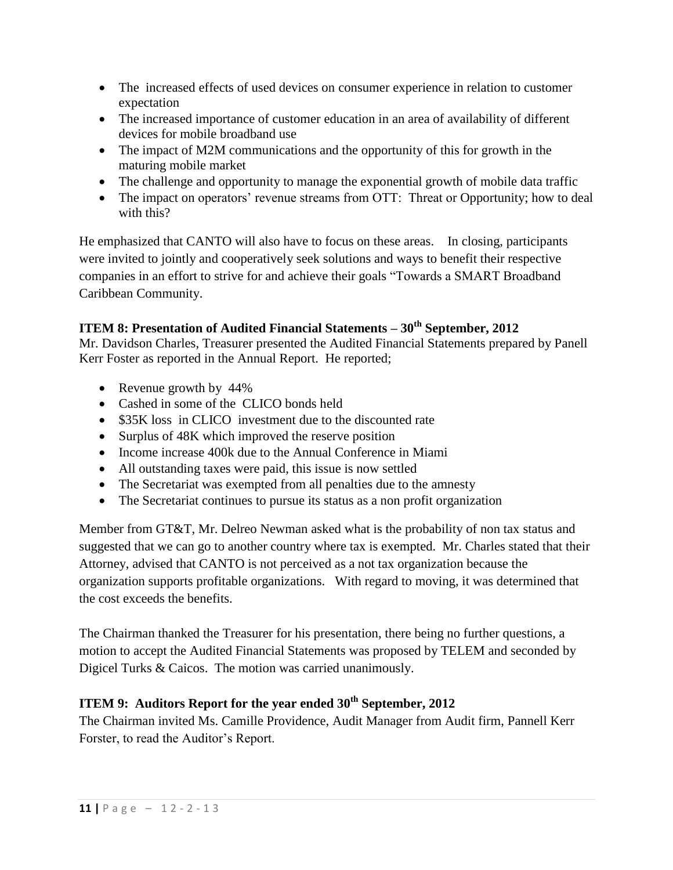- The increased effects of used devices on consumer experience in relation to customer expectation
- The increased importance of customer education in an area of availability of different devices for mobile broadband use
- The impact of M2M communications and the opportunity of this for growth in the maturing mobile market
- The challenge and opportunity to manage the exponential growth of mobile data traffic
- The impact on operators' revenue streams from OTT: Threat or Opportunity; how to deal with this?

He emphasized that CANTO will also have to focus on these areas. In closing, participants were invited to jointly and cooperatively seek solutions and ways to benefit their respective companies in an effort to strive for and achieve their goals "Towards a SMART Broadband Caribbean Community.

# **ITEM 8: Presentation of Audited Financial Statements – 30th September, 2012**

Mr. Davidson Charles, Treasurer presented the Audited Financial Statements prepared by Panell Kerr Foster as reported in the Annual Report. He reported;

- Revenue growth by 44%
- Cashed in some of the CLICO bonds held
- \$35K loss in CLICO investment due to the discounted rate
- Surplus of 48K which improved the reserve position
- Income increase 400k due to the Annual Conference in Miami
- All outstanding taxes were paid, this issue is now settled
- The Secretariat was exempted from all penalties due to the amnesty
- The Secretariat continues to pursue its status as a non profit organization

Member from GT&T, Mr. Delreo Newman asked what is the probability of non tax status and suggested that we can go to another country where tax is exempted. Mr. Charles stated that their Attorney, advised that CANTO is not perceived as a not tax organization because the organization supports profitable organizations. With regard to moving, it was determined that the cost exceeds the benefits.

The Chairman thanked the Treasurer for his presentation, there being no further questions, a motion to accept the Audited Financial Statements was proposed by TELEM and seconded by Digicel Turks & Caicos. The motion was carried unanimously.

# **ITEM 9: Auditors Report for the year ended 30th September, 2012**

The Chairman invited Ms. Camille Providence, Audit Manager from Audit firm, Pannell Kerr Forster, to read the Auditor's Report.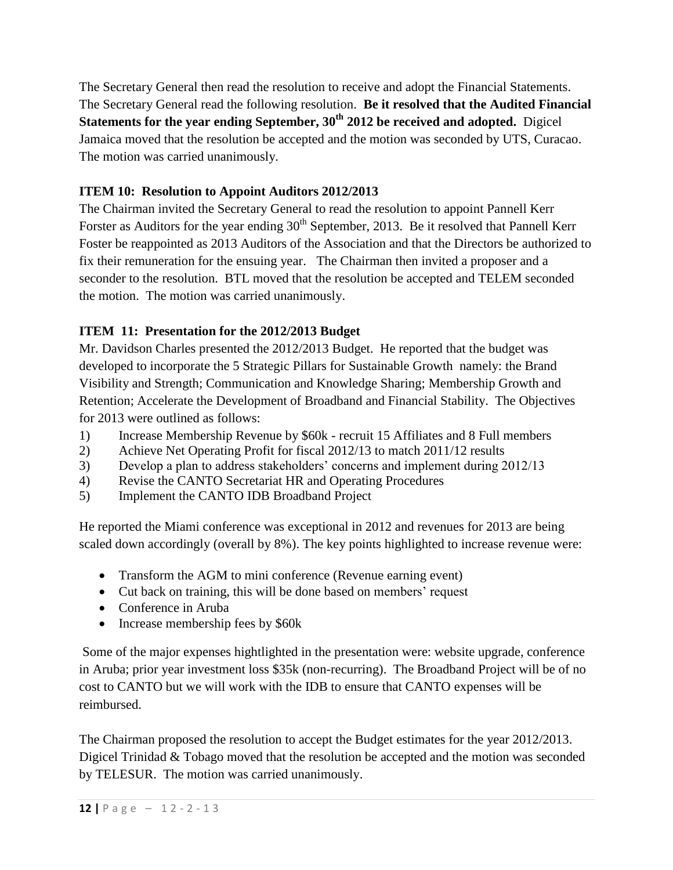The Secretary General then read the resolution to receive and adopt the Financial Statements. The Secretary General read the following resolution. **Be it resolved that the Audited Financial Statements for the year ending September, 30th 2012 be received and adopted.** Digicel Jamaica moved that the resolution be accepted and the motion was seconded by UTS, Curacao. The motion was carried unanimously.

# **ITEM 10: Resolution to Appoint Auditors 2012/2013**

The Chairman invited the Secretary General to read the resolution to appoint Pannell Kerr Forster as Auditors for the year ending 30<sup>th</sup> September, 2013. Be it resolved that Pannell Kerr Foster be reappointed as 2013 Auditors of the Association and that the Directors be authorized to fix their remuneration for the ensuing year. The Chairman then invited a proposer and a seconder to the resolution. BTL moved that the resolution be accepted and TELEM seconded the motion. The motion was carried unanimously.

# **ITEM 11: Presentation for the 2012/2013 Budget**

Mr. Davidson Charles presented the 2012/2013 Budget. He reported that the budget was developed to incorporate the 5 Strategic Pillars for Sustainable Growth namely: the Brand Visibility and Strength; Communication and Knowledge Sharing; Membership Growth and Retention; Accelerate the Development of Broadband and Financial Stability. The Objectives for 2013 were outlined as follows:

- 1) Increase Membership Revenue by \$60k recruit 15 Affiliates and 8 Full members
- 2) Achieve Net Operating Profit for fiscal 2012/13 to match 2011/12 results
- 3) Develop a plan to address stakeholders' concerns and implement during 2012/13
- 4) Revise the CANTO Secretariat HR and Operating Procedures
- 5) Implement the CANTO IDB Broadband Project

He reported the Miami conference was exceptional in 2012 and revenues for 2013 are being scaled down accordingly (overall by 8%). The key points highlighted to increase revenue were:

- Transform the AGM to mini conference (Revenue earning event)
- Cut back on training, this will be done based on members' request
- Conference in Aruba
- Increase membership fees by \$60k

Some of the major expenses hightlighted in the presentation were: website upgrade, conference in Aruba; prior year investment loss \$35k (non-recurring). The Broadband Project will be of no cost to CANTO but we will work with the IDB to ensure that CANTO expenses will be reimbursed.

The Chairman proposed the resolution to accept the Budget estimates for the year 2012/2013. Digicel Trinidad & Tobago moved that the resolution be accepted and the motion was seconded by TELESUR. The motion was carried unanimously.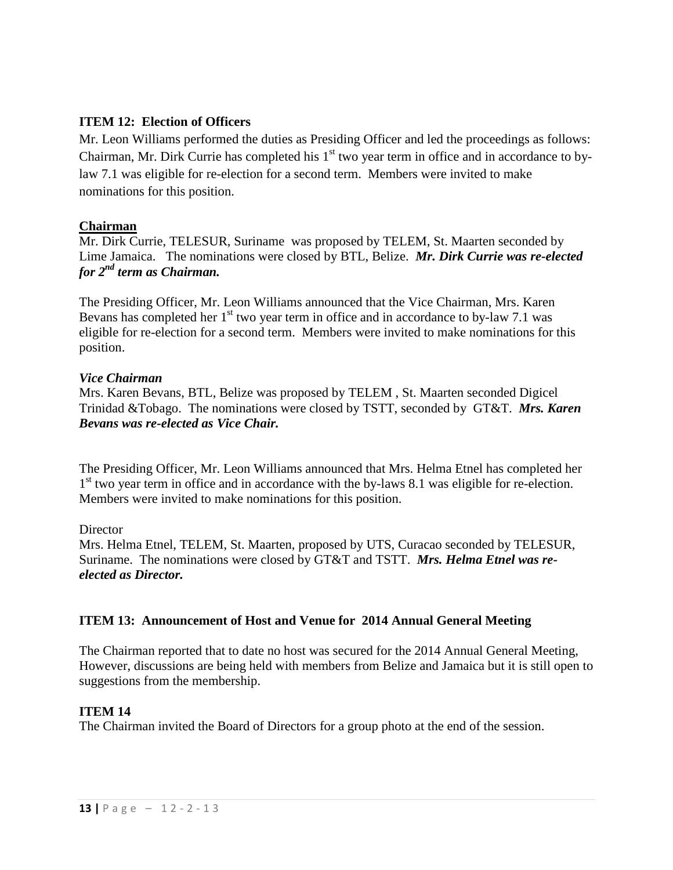# **ITEM 12: Election of Officers**

Mr. Leon Williams performed the duties as Presiding Officer and led the proceedings as follows: Chairman, Mr. Dirk Currie has completed his  $1<sup>st</sup>$  two year term in office and in accordance to bylaw 7.1 was eligible for re-election for a second term. Members were invited to make nominations for this position.

#### **Chairman**

Mr. Dirk Currie, TELESUR, Suriname was proposed by TELEM, St. Maarten seconded by Lime Jamaica. The nominations were closed by BTL, Belize. *Mr. Dirk Currie was re-elected for 2nd term as Chairman.*

The Presiding Officer, Mr. Leon Williams announced that the Vice Chairman, Mrs. Karen Bevans has completed her  $1<sup>st</sup>$  two year term in office and in accordance to by-law 7.1 was eligible for re-election for a second term. Members were invited to make nominations for this position.

#### *Vice Chairman*

Mrs. Karen Bevans, BTL, Belize was proposed by TELEM , St. Maarten seconded Digicel Trinidad &Tobago. The nominations were closed by TSTT, seconded by GT&T. *Mrs. Karen Bevans was re-elected as Vice Chair.*

The Presiding Officer, Mr. Leon Williams announced that Mrs. Helma Etnel has completed her 1<sup>st</sup> two year term in office and in accordance with the by-laws 8.1 was eligible for re-election. Members were invited to make nominations for this position.

**Director** 

Mrs. Helma Etnel, TELEM, St. Maarten, proposed by UTS, Curacao seconded by TELESUR, Suriname. The nominations were closed by GT&T and TSTT. *Mrs. Helma Etnel was reelected as Director.*

## **ITEM 13: Announcement of Host and Venue for 2014 Annual General Meeting**

The Chairman reported that to date no host was secured for the 2014 Annual General Meeting, However, discussions are being held with members from Belize and Jamaica but it is still open to suggestions from the membership.

#### **ITEM 14**

The Chairman invited the Board of Directors for a group photo at the end of the session.